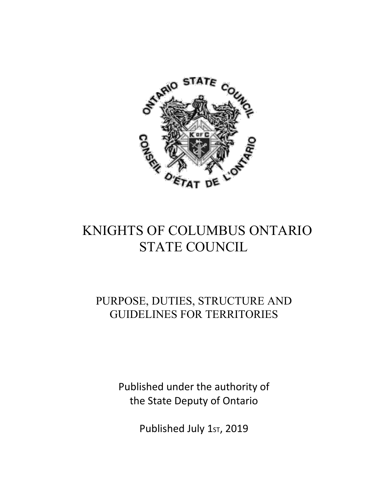

# KNIGHTS OF COLUMBUS ONTARIO STATE COUNCIL

## PURPOSE, DUTIES, STRUCTURE AND GUIDELINES FOR TERRITORIES

Published under the authority of the State Deputy of Ontario

Published July 1st, 2019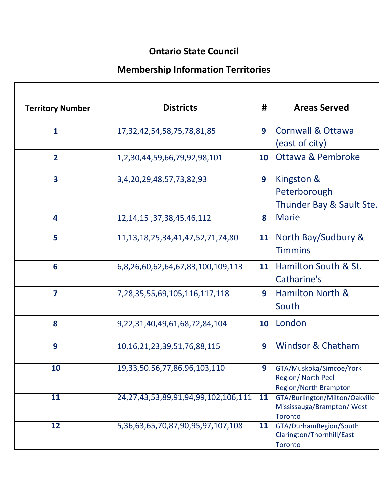### **Ontario State Council**

### **Membership Information Territories**

| <b>Territory Number</b> | <b>Districts</b>                              | #  | <b>Areas Served</b>                                                           |
|-------------------------|-----------------------------------------------|----|-------------------------------------------------------------------------------|
| $\mathbf{1}$            | 17, 32, 42, 54, 58, 75, 78, 81, 85            | 9  | <b>Cornwall &amp; Ottawa</b><br>(east of city)                                |
| $\overline{2}$          | 1,2,30,44,59,66,79,92,98,101                  | 10 | <b>Ottawa &amp; Pembroke</b>                                                  |
| $\overline{\mathbf{3}}$ | 3,4,20,29,48,57,73,82,93                      | 9  | Kingston &<br>Peterborough                                                    |
| 4                       | 12, 14, 15, 37, 38, 45, 46, 112               | 8  | Thunder Bay & Sault Ste.<br><b>Marie</b>                                      |
| 5                       | 11, 13, 18, 25, 34, 41, 47, 52, 71, 74, 80    | 11 | North Bay/Sudbury &<br><b>Timmins</b>                                         |
| 6                       | 6,8,26,60,62,64,67,83,100,109,113             | 11 | Hamilton South & St.<br>Catharine's                                           |
| $\overline{\mathbf{z}}$ | 7,28,35,55,69,105,116,117,118                 | 9  | <b>Hamilton North &amp;</b><br>South                                          |
| 8                       | 9,22,31,40,49,61,68,72,84,104                 | 10 | London                                                                        |
| 9                       | 10, 16, 21, 23, 39, 51, 76, 88, 115           | 9  | <b>Windsor &amp; Chatham</b>                                                  |
| 10                      | 19,33,50.56,77,86,96,103,110                  | 9  | GTA/Muskoka/Simcoe/York<br>Region/ North Peel<br>Region/North Brampton        |
| 11                      | 24, 27, 43, 53, 89, 91, 94, 99, 102, 106, 111 | 11 | GTA/Burlington/Milton/Oakville<br>Mississauga/Brampton/West<br><b>Toronto</b> |
| 12                      | 5,36,63,65,70,87,90,95,97,107,108             | 11 | GTA/DurhamRegion/South<br>Clarington/Thornhill/East<br><b>Toronto</b>         |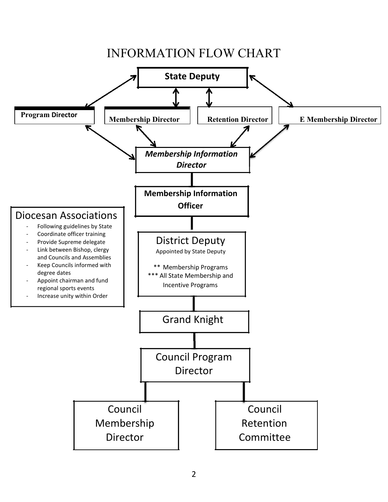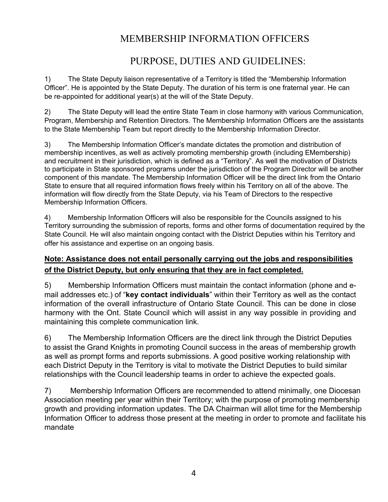#### MEMBERSHIP INFORMATION OFFICERS

#### PURPOSE, DUTIES AND GUIDELINES:

1) The State Deputy liaison representative of a Territory is titled the "Membership Information Officer". He is appointed by the State Deputy. The duration of his term is one fraternal year. He can be re-appointed for additional year(s) at the will of the State Deputy.

2) The State Deputy will lead the entire State Team in close harmony with various Communication, Program, Membership and Retention Directors. The Membership Information Officers are the assistants to the State Membership Team but report directly to the Membership Information Director.

3) The Membership Information Officer's mandate dictates the promotion and distribution of membership incentives, as well as actively promoting membership growth (including EMembership) and recruitment in their jurisdiction, which is defined as a "Territory". As well the motivation of Districts to participate in State sponsored programs under the jurisdiction of the Program Director will be another component of this mandate. The Membership Information Officer will be the direct link from the Ontario State to ensure that all required information flows freely within his Territory on all of the above. The information will flow directly from the State Deputy, via his Team of Directors to the respective Membership Information Officers.

4) Membership Information Officers will also be responsible for the Councils assigned to his Territory surrounding the submission of reports, forms and other forms of documentation required by the State Council. He will also maintain ongoing contact with the District Deputies within his Territory and offer his assistance and expertise on an ongoing basis.

#### **Note: Assistance does not entail personally carrying out the jobs and responsibilities of the District Deputy, but only ensuring that they are in fact completed.**

5) Membership Information Officers must maintain the contact information (phone and email addresses etc.) of "**key contact individuals**" within their Territory as well as the contact information of the overall infrastructure of Ontario State Council. This can be done in close harmony with the Ont. State Council which will assist in any way possible in providing and maintaining this complete communication link.

6) The Membership Information Officers are the direct link through the District Deputies to assist the Grand Knights in promoting Council success in the areas of membership growth as well as prompt forms and reports submissions. A good positive working relationship with each District Deputy in the Territory is vital to motivate the District Deputies to build similar relationships with the Council leadership teams in order to achieve the expected goals.

7) Membership Information Officers are recommended to attend minimally, one Diocesan Association meeting per year within their Territory; with the purpose of promoting membership growth and providing information updates. The DA Chairman will allot time for the Membership Information Officer to address those present at the meeting in order to promote and facilitate his mandate